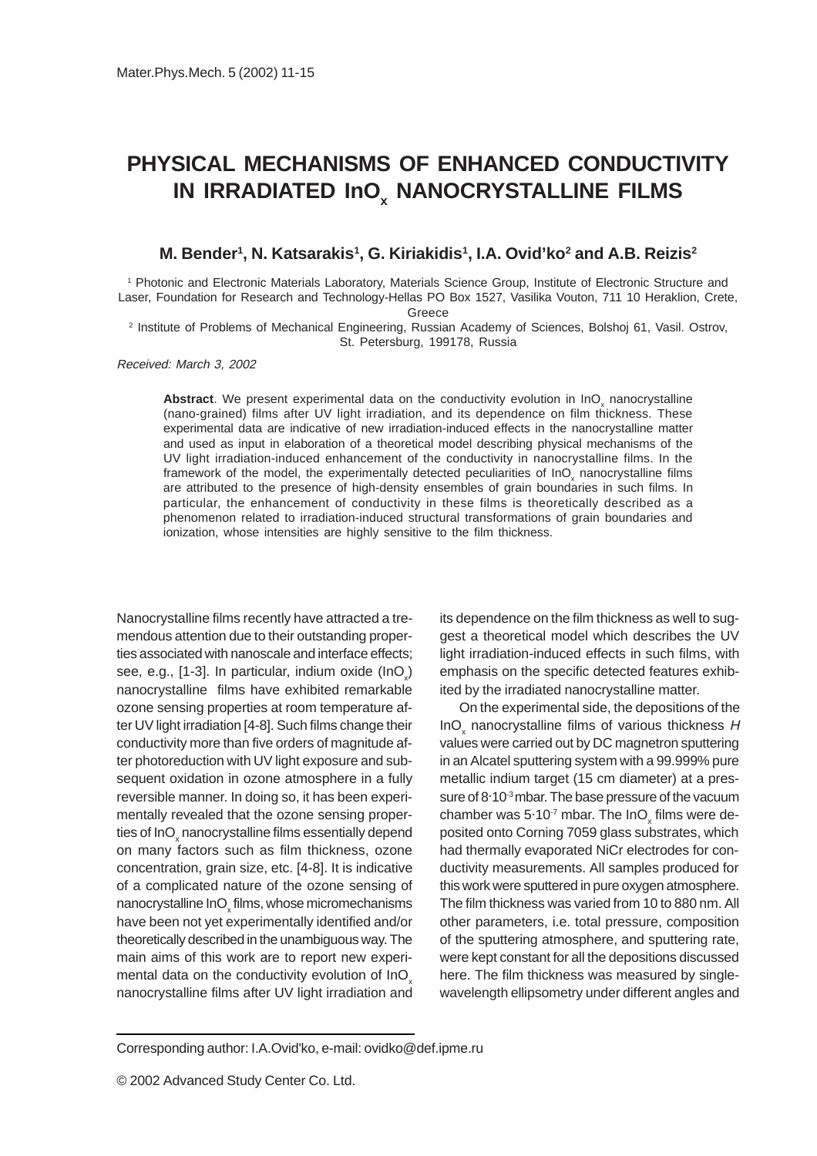## **PHYSICAL MECHANISMS OF ENHANCED CONDUCTIVITY IN IRRADIATED InO x NANOCRYSTALLINE FILMS**

**M. Bender1 , N. Katsarakis1 , G. Kiriakidis1 , I.A. Ovid'ko2 and A.B. Reizis2**

1 Photonic and Electronic Materials Laboratory, Materials Science Group, Institute of Electronic Structure and Laser, Foundation for Research and Technology-Hellas PO Box 1527, Vasilika Vouton, 711 10 Heraklion, Crete,

Greece

2 Institute of Problems of Mechanical Engineering, Russian Academy of Sciences, Bolshoj 61, Vasil. Ostrov, St. Petersburg, 199178, Russia

Received: March 3, 2002

Abstract. We present experimental data on the conductivity evolution in InO<sub>x</sub> nanocrystalline (nano-grained) films after UV light irradiation, and its dependence on film thickness. These experimental data are indicative of new irradiation-induced effects in the nanocrystalline matter and used as input in elaboration of a theoretical model describing physical mechanisms of the UV light irradiation-induced enhancement of the conductivity in nanocrystalline films. In the framework of the model, the experimentally detected peculiarities of  $InO_\chi$  nanocrystalline films are attributed to the presence of high-density ensembles of grain boundaries in such films. In particular, the enhancement of conductivity in these films is theoretically described as a phenomenon related to irradiation-induced structural transformations of grain boundaries and ionization, whose intensities are highly sensitive to the film thickness.

Nanocrystalline films recently have attracted a tremendous attention due to their outstanding properties associated with nanoscale and interface effects; see, e.g., [1-3]. In particular, indium oxide  $($ lnO<sub>x</sub> $)$ nanocrystalline films have exhibited remarkable ozone sensing properties at room temperature after UV light irradiation [4-8]. Such films change their conductivity more than five orders of magnitude after photoreduction with UV light exposure and subsequent oxidation in ozone atmosphere in a fully reversible manner. In doing so, it has been experimentally revealed that the ozone sensing properties of InO $_{\mathrm{\mathsf{x}}}$ nanocrystalline films essentially depend on many factors such as film thickness, ozone concentration, grain size, etc. [4-8]. It is indicative of a complicated nature of the ozone sensing of nanocrystalline In $\mathsf{O}_{\mathsf{x}}$ films, whose micromechanisms have been not yet experimentally identified and/or theoretically described in the unambiguous way. The main aims of this work are to report new experimental data on the conductivity evolution of InO nanocrystalline films after UV light irradiation and

its dependence on the film thickness as well to suggest a theoretical model which describes the UV light irradiation-induced effects in such films, with emphasis on the specific detected features exhibited by the irradiated nanocrystalline matter.

On the experimental side, the depositions of the InO<sub>x</sub> nanocrystalline films of various thickness H values were carried out by DC magnetron sputtering in an Alcatel sputtering system with a 99.999% pure metallic indium target (15 cm diameter) at a pressure of 8.10<sup>-3</sup> mbar. The base pressure of the vacuum chamber was 5 $\cdot$ 10<sup>-7</sup> mbar. The InO<sub>x</sub> films were deposited onto Corning 7059 glass substrates, which had thermally evaporated NiCr electrodes for conductivity measurements. All samples produced for this work were sputtered in pure oxygen atmosphere. The film thickness was varied from 10 to 880 nm. All other parameters, i.e. total pressure, composition of the sputtering atmosphere, and sputtering rate, were kept constant for all the depositions discussed here. The film thickness was measured by singlewavelength ellipsometry under different angles and

Corresponding author: I.A.Ovid'ko, e-mail: ovidko@def.ipme.ru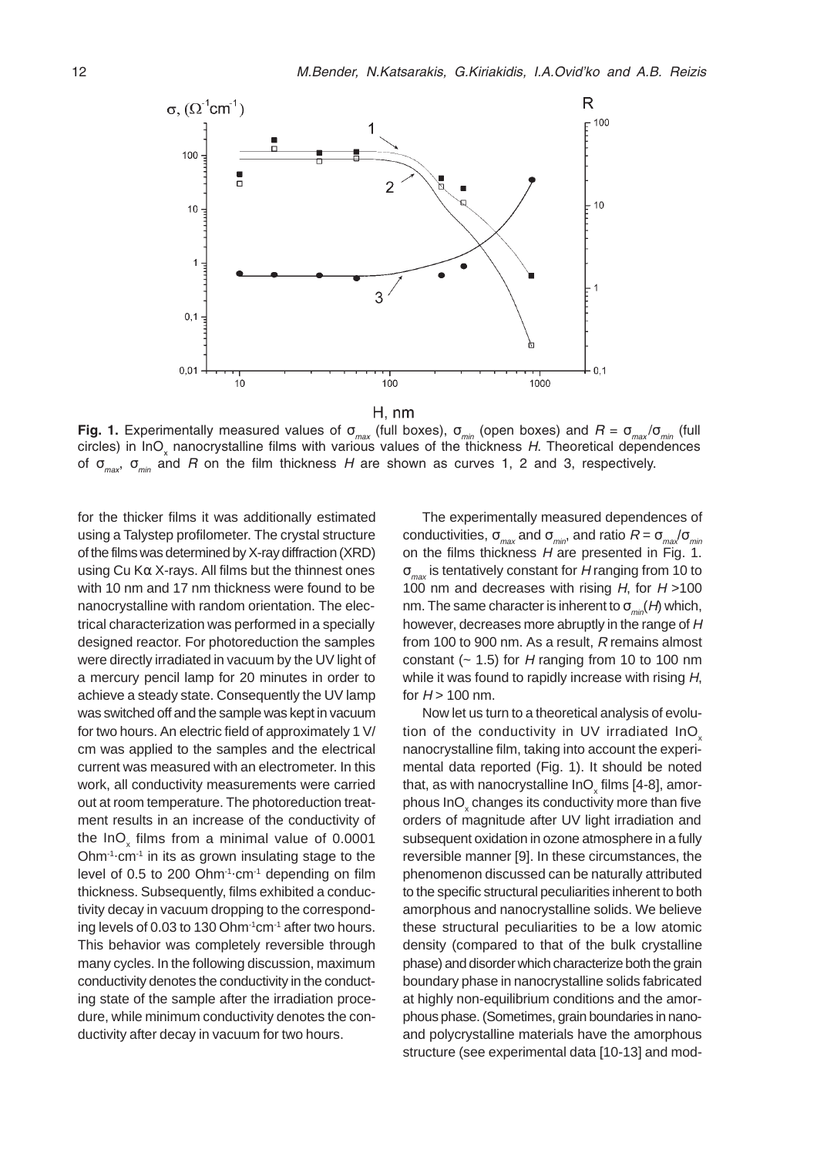

 $H, nm$ 

Fig. 1. Experimentally measured values of  $\sigma_{max}$  (full boxes),  $\sigma_{min}$  (open boxes) and  $R = \sigma_{max}/\sigma_{min}$  (full circles) in InO<sub>x</sub> nanocrystalline films with various values of the thickness H. Theoretical dependences of  $\sigma_{\text{max}}$ ,  $\sigma_{\text{min}}$  and R on the film thickness H are shown as curves 1, 2 and 3, respectively.

for the thicker films it was additionally estimated using a Talystep profilometer. The crystal structure of the films was determined by X-ray diffraction (XRD) using Cu Kα X-rays. All films but the thinnest ones with 10 nm and 17 nm thickness were found to be nanocrystalline with random orientation. The electrical characterization was performed in a specially designed reactor. For photoreduction the samples were directly irradiated in vacuum by the UV light of a mercury pencil lamp for 20 minutes in order to achieve a steady state. Consequently the UV lamp was switched off and the sample was kept in vacuum for two hours. An electric field of approximately 1 V/ cm was applied to the samples and the electrical current was measured with an electrometer. In this work, all conductivity measurements were carried out at room temperature. The photoreduction treatment results in an increase of the conductivity of the InO<sub>x</sub> films from a minimal value of 0.0001 Ohm $1$  cm $1$  in its as grown insulating stage to the level of 0.5 to 200 Ohm<sup>-1</sup>·cm<sup>-1</sup> depending on film thickness. Subsequently, films exhibited a conductivity decay in vacuum dropping to the corresponding levels of 0.03 to 130 Ohm $1$ <sup>-1</sup>cm<sup>-1</sup> after two hours. This behavior was completely reversible through many cycles. In the following discussion, maximum conductivity denotes the conductivity in the conducting state of the sample after the irradiation procedure, while minimum conductivity denotes the conductivity after decay in vacuum for two hours.

The experimentally measured dependences of conductivities,  $\sigma_{max}$  and  $\sigma_{min}$ , and ratio  $R = \sigma_{max}/\sigma_{min}$ on the films thickness  $H$  are presented in Fig. 1.  $\sigma_{\text{max}}$  is tentatively constant for H ranging from 10 to 100 nm and decreases with rising  $H$ , for  $H > 100$ nm. The same character is inherent to  $\sigma_{min}(H)$  which, however, decreases more abruptly in the range of H from 100 to 900 nm. As a result, R remains almost constant ( $\sim$  1.5) for H ranging from 10 to 100 nm while it was found to rapidly increase with rising H, for  $H > 100$  nm.

Now let us turn to a theoretical analysis of evolution of the conductivity in UV irradiated InO nanocrystalline film, taking into account the experimental data reported (Fig. 1). It should be noted that, as with nanocrystalline InO $_\mathrm{\mathrm{x}}$  films [4-8], amorphous InO $_{\sf x}$  changes its conductivity more than five orders of magnitude after UV light irradiation and subsequent oxidation in ozone atmosphere in a fully reversible manner [9]. In these circumstances, the phenomenon discussed can be naturally attributed to the specific structural peculiarities inherent to both amorphous and nanocrystalline solids. We believe these structural peculiarities to be a low atomic density (compared to that of the bulk crystalline phase) and disorder which characterize both the grain boundary phase in nanocrystalline solids fabricated at highly non-equilibrium conditions and the amorphous phase. (Sometimes, grain boundaries in nanoand polycrystalline materials have the amorphous structure (see experimental data [10-13] and mod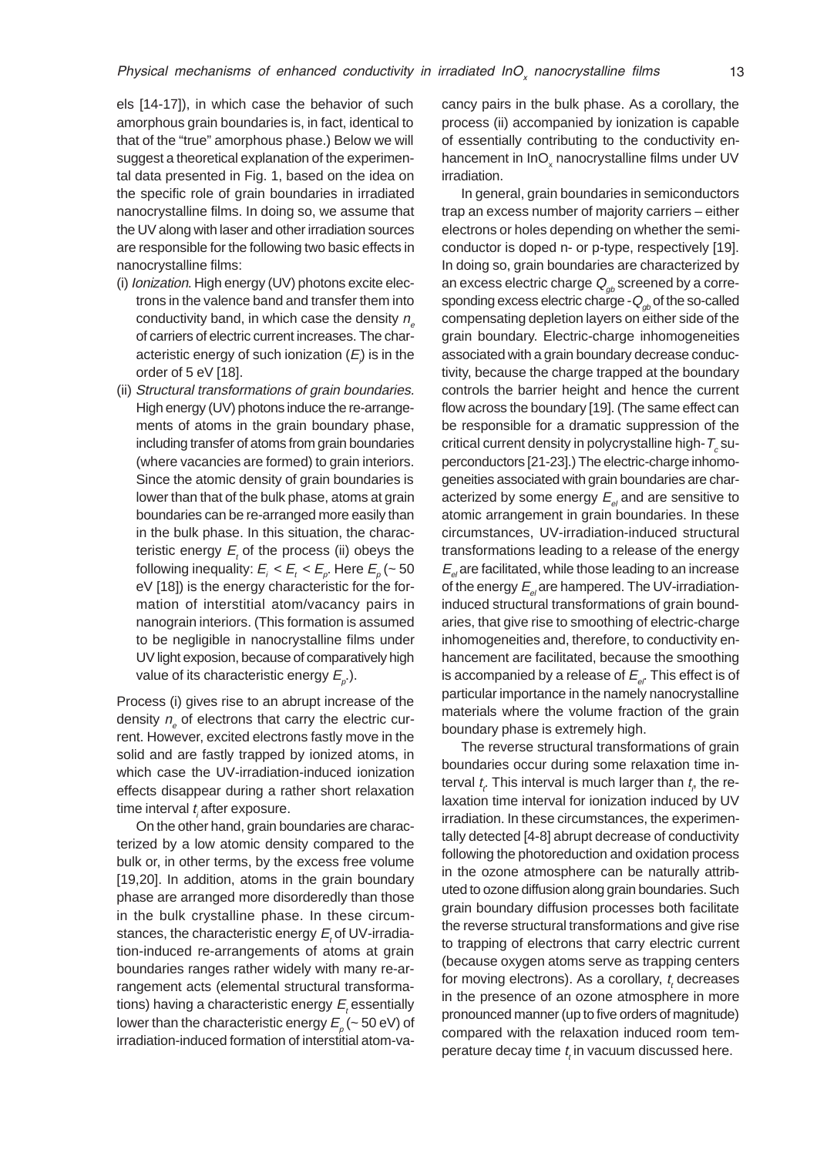els [14-17]), in which case the behavior of such amorphous grain boundaries is, in fact, identical to that of the "true" amorphous phase.) Below we will suggest a theoretical explanation of the experimental data presented in Fig. 1, based on the idea on the specific role of grain boundaries in irradiated nanocrystalline films. In doing so, we assume that the UV along with laser and other irradiation sources are responsible for the following two basic effects in nanocrystalline films:

- (i) Ionization. High energy (UV) photons excite electrons in the valence band and transfer them into conductivity band, in which case the density  $n_z$ of carriers of electric current increases. The characteristic energy of such ionization ( $E$ ) is in the order of 5 eV [18].
- (ii) Structural transformations of grain boundaries. High energy (UV) photons induce the re-arrangements of atoms in the grain boundary phase, including transfer of atoms from grain boundaries (where vacancies are formed) to grain interiors. Since the atomic density of grain boundaries is lower than that of the bulk phase, atoms at grain boundaries can be re-arranged more easily than in the bulk phase. In this situation, the characteristic energy  $E_{t}$  of the process (ii) obeys the following inequality:  $E_{i} < E_{t} < E_{\rho}$ . Here  $E_{\rho}$  (~ 50 eV [18]) is the energy characteristic for the formation of interstitial atom/vacancy pairs in nanograin interiors. (This formation is assumed to be negligible in nanocrystalline films under UV light exposion, because of comparatively high value of its characteristic energy  $E_{_{\rho}}$ .).

Process (i) gives rise to an abrupt increase of the density  $n_{e}$  of electrons that carry the electric current. However, excited electrons fastly move in the solid and are fastly trapped by ionized atoms, in which case the UV-irradiation-induced ionization effects disappear during a rather short relaxation time interval  $t_i$  after exposure.

On the other hand, grain boundaries are characterized by a low atomic density compared to the bulk or, in other terms, by the excess free volume [19,20]. In addition, atoms in the grain boundary phase are arranged more disorderedly than those in the bulk crystalline phase. In these circumstances, the characteristic energy  $E_t$  of UV-irradiation-induced re-arrangements of atoms at grain boundaries ranges rather widely with many re-arrangement acts (elemental structural transformations) having a characteristic energy  $E_{_t}$ essentially lower than the characteristic energy  $E_{_{\rho}}( \sim$  50 eV) of irradiation-induced formation of interstitial atom-vacancy pairs in the bulk phase. As a corollary, the process (ii) accompanied by ionization is capable of essentially contributing to the conductivity enhancement in InO<sub>x</sub> nanocrystalline films under UV irradiation.

In general, grain boundaries in semiconductors trap an excess number of majority carriers – either electrons or holes depending on whether the semiconductor is doped n- or p-type, respectively [19]. In doing so, grain boundaries are characterized by an excess electric charge  $Q_{ab}$  screened by a corresponding excess electric charge - $Q_{ab}$  of the so-called compensating depletion layers on either side of the grain boundary. Electric-charge inhomogeneities associated with a grain boundary decrease conductivity, because the charge trapped at the boundary controls the barrier height and hence the current flow across the boundary [19]. (The same effect can be responsible for a dramatic suppression of the critical current density in polycrystalline high-  $T_{\varepsilon}$  superconductors [21-23].) The electric-charge inhomogeneities associated with grain boundaries are characterized by some energy  $E_{el}$  and are sensitive to atomic arrangement in grain boundaries. In these circumstances, UV-irradiation-induced structural transformations leading to a release of the energy  $E_{el}$  are facilitated, while those leading to an increase of the energy  $E_{el}$  are hampered. The UV-irradiationinduced structural transformations of grain boundaries, that give rise to smoothing of electric-charge inhomogeneities and, therefore, to conductivity enhancement are facilitated, because the smoothing is accompanied by a release of  $E_{\rho}$ . This effect is of particular importance in the namely nanocrystalline materials where the volume fraction of the grain boundary phase is extremely high.

The reverse structural transformations of grain boundaries occur during some relaxation time interval  $t_{\vec{t}}$ . This interval is much larger than  $t_{\vec{r}}$  the relaxation time interval for ionization induced by UV irradiation. In these circumstances, the experimentally detected [4-8] abrupt decrease of conductivity following the photoreduction and oxidation process in the ozone atmosphere can be naturally attributed to ozone diffusion along grain boundaries. Such grain boundary diffusion processes both facilitate the reverse structural transformations and give rise to trapping of electrons that carry electric current (because oxygen atoms serve as trapping centers for moving electrons). As a corollary,  $t_t$  decreases in the presence of an ozone atmosphere in more pronounced manner (up to five orders of magnitude) compared with the relaxation induced room temperature decay time  $t$ , in vacuum discussed here.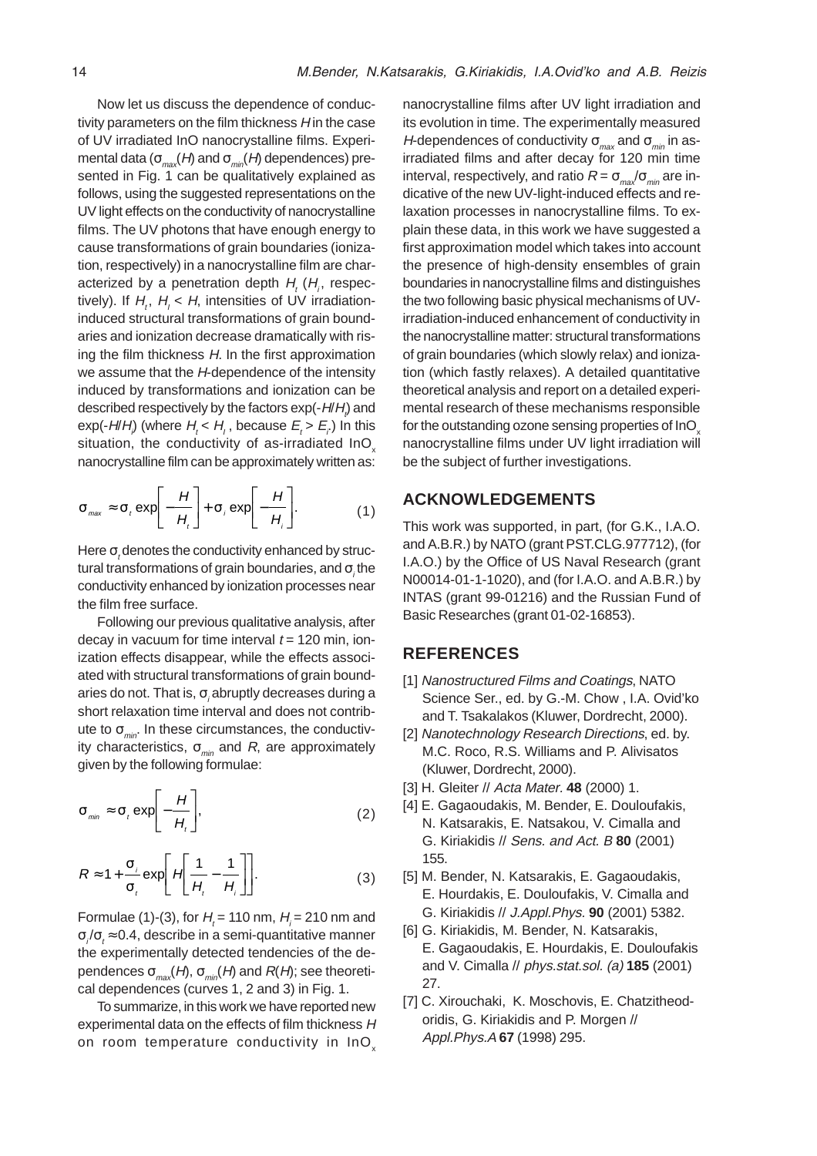Now let us discuss the dependence of conductivity parameters on the film thickness  $H$  in the case of UV irradiated InO nanocrystalline films. Experimental data ( $\sigma_{\text{max}}(H)$  and  $\sigma_{\text{min}}(H)$  dependences) presented in Fig. 1 can be qualitatively explained as follows, using the suggested representations on the UV light effects on the conductivity of nanocrystalline films. The UV photons that have enough energy to cause transformations of grain boundaries (ionization, respectively) in a nanocrystalline film are characterized by a penetration depth  $H_{t}$  ( $H_{i}$ , respectively). If  $H_t$ ,  $H_t < H$ , intensities of UV irradiationinduced structural transformations of grain boundaries and ionization decrease dramatically with rising the film thickness  $H$ . In the first approximation we assume that the H-dependence of the intensity induced by transformations and ionization can be described respectively by the factors  $\mathsf{exp}(\text{-}\textit{H/\textit{H}}_{t})$  and exp(-H/H<sub>i</sub>) (where  $H_t < H_t$ , because  $E_t > E_t$ ) In this situation, the conductivity of as-irradiated InO<sub>x</sub> nanocrystalline film can be approximately written as:

$$
\sigma_{\max} \approx \sigma_t \exp\left[-\frac{H}{H_t}\right] + \sigma_j \exp\left[-\frac{H}{H_j}\right].
$$
 (1)

Here  $\sigma_{_t}$ denotes the conductivity enhanced by structural transformations of grain boundaries, and  $\sigma_i$ the conductivity enhanced by ionization processes near the film free surface.

Following our previous qualitative analysis, after decay in vacuum for time interval  $t = 120$  min, ionization effects disappear, while the effects associated with structural transformations of grain boundaries do not. That is,  $\sigma_i$ abruptly decreases during a short relaxation time interval and does not contribute to  $\sigma_{\min}$ . In these circumstances, the conductivity characteristics,  $\sigma_{\text{min}}$  and R, are approximately given by the following formulae:

$$
\sigma_{\min} \approx \sigma_t \exp\left[-\frac{H}{H_t}\right],\tag{2}
$$

$$
R \approx 1 + \frac{\sigma_i}{\sigma_t} \exp\left[H\left(\frac{1}{H_t} - \frac{1}{H_i}\right)\right].
$$
 (3)

Formulae (1)-(3), for  $H_t$  = 110 nm,  $H_i$  = 210 nm and  $\sigma_{\scriptscriptstyle{f}}/\sigma_{\scriptscriptstyle{f}}\approx$  0.4, describe in a semi-quantitative manner the experimentally detected tendencies of the dependences  $\sigma_{max}(H)$ ,  $\sigma_{min}(H)$  and  $R(H)$ ; see theoretical dependences (curves 1, 2 and 3) in Fig. 1.

To summarize, in this work we have reported new experimental data on the effects of film thickness H on room temperature conductivity in InO<sub>y</sub>

nanocrystalline films after UV light irradiation and its evolution in time. The experimentally measured H-dependences of conductivity  $\sigma_{\text{max}}$  and  $\sigma_{\text{min}}$  in asirradiated films and after decay for 120 min time interval, respectively, and ratio  $R = \sigma_{\text{max}}/\sigma_{\text{min}}$  are indicative of the new UV-light-induced effects and relaxation processes in nanocrystalline films. To explain these data, in this work we have suggested a first approximation model which takes into account the presence of high-density ensembles of grain boundaries in nanocrystalline films and distinguishes the two following basic physical mechanisms of UVirradiation-induced enhancement of conductivity in the nanocrystalline matter: structural transformations of grain boundaries (which slowly relax) and ionization (which fastly relaxes). A detailed quantitative theoretical analysis and report on a detailed experimental research of these mechanisms responsible for the outstanding ozone sensing properties of InO<sub>x</sub> nanocrystalline films under UV light irradiation will be the subject of further investigations.

## **ACKNOWLEDGEMENTS**

This work was supported, in part, (for G.K., I.A.O. and A.B.R.) by NATO (grant PST.CLG.977712), (for I.A.O.) by the Office of US Naval Research (grant N00014-01-1-1020), and (for I.A.O. and A.B.R.) by INTAS (grant 99-01216) and the Russian Fund of Basic Researches (grant 01-02-16853).

## **REFERENCES**

- [1] Nanostructured Films and Coatings, NATO Science Ser., ed. by G.-M. Chow , I.A. Ovid'ko and T. Tsakalakos (Kluwer, Dordrecht, 2000).
- [2] Nanotechnology Research Directions, ed. by. M.C. Roco, R.S. Williams and P. Alivisatos (Kluwer, Dordrecht, 2000).
- [3] H. Gleiter // Acta Mater. **48** (2000) 1.
- [4] E. Gagaoudakis, M. Bender, E. Douloufakis, N. Katsarakis, E. Natsakou, V. Cimalla and G. Kiriakidis // Sens. and Act. B **80** (2001) 155.
- [5] M. Bender, N. Katsarakis, E. Gagaoudakis, E. Hourdakis, E. Douloufakis, V. Cimalla and G. Kiriakidis // J.Appl.Phys. **90** (2001) 5382.
- [6] G. Kiriakidis, M. Bender, N. Katsarakis, E. Gagaoudakis, E. Hourdakis, E. Douloufakis and V. Cimalla // phys.stat.sol. (a) **185** (2001) 27.
- [7] C. Xirouchaki, K. Moschovis, E. Chatzitheodoridis, G. Kiriakidis and P. Morgen // Appl.Phys.A **67** (1998) 295.